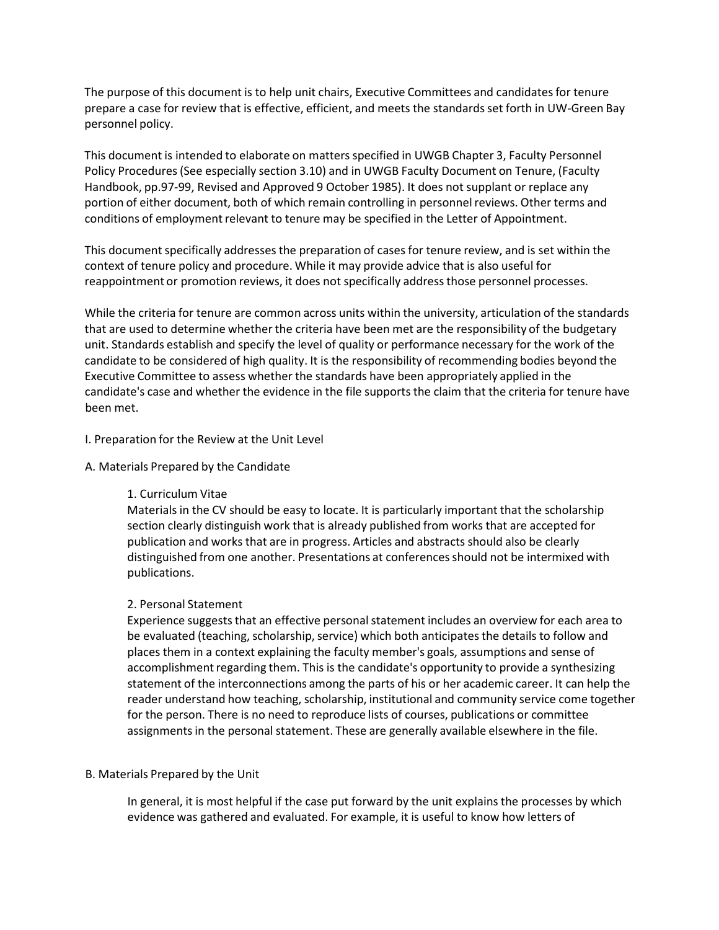The purpose of this document is to help unit chairs, Executive Committees and candidatesfor tenure prepare a case for review that is effective, efficient, and meets the standards set forth in UW-Green Bay personnel policy.

This document is intended to elaborate on matters specified in UWGB Chapter 3, Faculty Personnel Policy Procedures(See especially section 3.10) and in UWGB Faculty Document on Tenure, (Faculty Handbook, pp.97-99, Revised and Approved 9 October 1985). It does not supplant or replace any portion of either document, both of which remain controlling in personnel reviews. Other terms and conditions of employment relevant to tenure may be specified in the Letter of Appointment.

This document specifically addresses the preparation of cases for tenure review, and is set within the context of tenure policy and procedure. While it may provide advice that is also useful for reappointment or promotion reviews, it does not specifically addressthose personnel processes.

While the criteria for tenure are common across units within the university, articulation of the standards that are used to determine whether the criteria have been met are the responsibility of the budgetary unit. Standards establish and specify the level of quality or performance necessary for the work of the candidate to be considered of high quality. It is the responsibility of recommending bodies beyond the Executive Committee to assess whether the standards have been appropriately applied in the candidate's case and whether the evidence in the file supports the claim that the criteria for tenure have been met.

#### I. Preparation for the Review at the Unit Level

#### A. Materials Prepared by the Candidate

## 1. Curriculum Vitae

Materials in the CV should be easy to locate. It is particularly important that the scholarship section clearly distinguish work that is already published from works that are accepted for publication and works that are in progress. Articles and abstracts should also be clearly distinguished from one another. Presentations at conferencesshould not be intermixed with publications.

## 2. Personal Statement

Experience suggests that an effective personal statement includes an overview for each area to be evaluated (teaching, scholarship, service) which both anticipates the details to follow and places them in a context explaining the faculty member's goals, assumptions and sense of accomplishment regarding them. This is the candidate's opportunity to provide a synthesizing statement of the interconnections among the parts of his or her academic career. It can help the reader understand how teaching, scholarship, institutional and community service come together for the person. There is no need to reproduce lists of courses, publications or committee assignments in the personal statement. These are generally available elsewhere in the file.

## B. Materials Prepared by the Unit

In general, it is most helpful if the case put forward by the unit explains the processes by which evidence was gathered and evaluated. For example, it is useful to know how letters of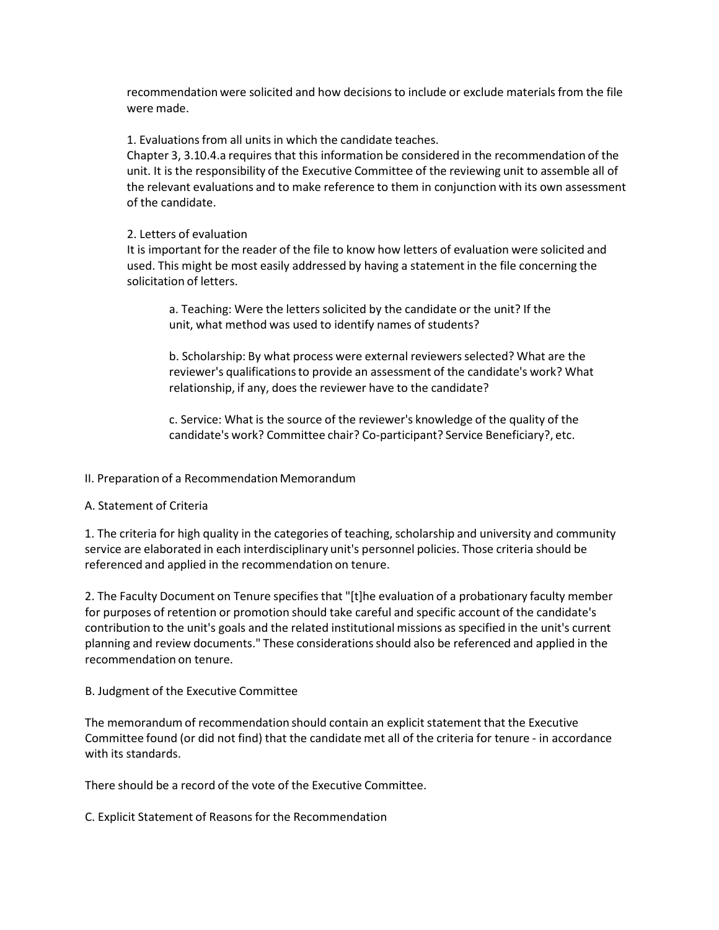recommendation were solicited and how decisions to include or exclude materials from the file were made.

1. Evaluationsfrom all units in which the candidate teaches.

Chapter 3, 3.10.4.a requires that this information be considered in the recommendation of the unit. It is the responsibility of the Executive Committee of the reviewing unit to assemble all of the relevant evaluations and to make reference to them in conjunction with its own assessment of the candidate.

# 2. Letters of evaluation

It is important for the reader of the file to know how letters of evaluation were solicited and used. This might be most easily addressed by having a statement in the file concerning the solicitation of letters.

a. Teaching: Were the letters solicited by the candidate or the unit? If the unit, what method was used to identify names of students?

b. Scholarship: By what process were external reviewersselected? What are the reviewer's qualificationsto provide an assessment of the candidate's work? What relationship, if any, does the reviewer have to the candidate?

c. Service: What is the source of the reviewer's knowledge of the quality of the candidate's work? Committee chair? Co‐participant? Service Beneficiary?, etc.

# II. Preparation of a Recommendation Memorandum

## A. Statement of Criteria

1. The criteria for high quality in the categories of teaching, scholarship and university and community service are elaborated in each interdisciplinary unit's personnel policies. Those criteria should be referenced and applied in the recommendation on tenure.

2. The Faculty Document on Tenure specifies that "[t]he evaluation of a probationary faculty member for purposes of retention or promotion should take careful and specific account of the candidate's contribution to the unit's goals and the related institutional missions as specified in the unit's current planning and review documents." These considerationsshould also be referenced and applied in the recommendation on tenure.

# B. Judgment of the Executive Committee

The memorandum of recommendation should contain an explicit statement that the Executive Committee found (or did not find) that the candidate met all of the criteria for tenure ‐ in accordance with its standards.

There should be a record of the vote of the Executive Committee.

C. Explicit Statement of Reasons for the Recommendation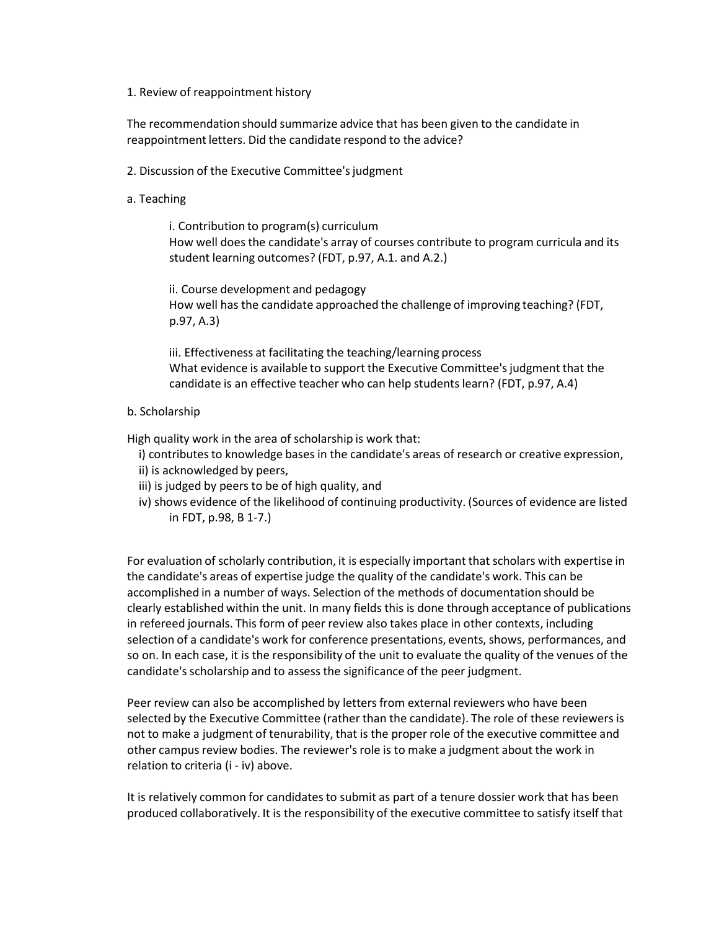#### 1. Review of reappointment history

The recommendation should summarize advice that has been given to the candidate in reappointment letters. Did the candidate respond to the advice?

- 2. Discussion of the Executive Committee's judgment
- a. Teaching

i. Contribution to program(s) curriculum How well does the candidate's array of courses contribute to program curricula and its student learning outcomes? (FDT, p.97, A.1. and A.2.)

ii. Course development and pedagogy How well has the candidate approached the challenge of improving teaching? (FDT, p.97, A.3)

iii. Effectiveness at facilitating the teaching/learning process What evidence is available to support the Executive Committee's judgment that the candidate is an effective teacher who can help students learn? (FDT, p.97, A.4)

# b. Scholarship

High quality work in the area of scholarship is work that:

- i) contributes to knowledge bases in the candidate's areas of research or creative expression, ii) is acknowledged by peers,
- iii) is judged by peers to be of high quality, and
- iv) shows evidence of the likelihood of continuing productivity. (Sources of evidence are listed in FDT, p.98, B 1‐7.)

For evaluation of scholarly contribution, it is especially important that scholars with expertise in the candidate's areas of expertise judge the quality of the candidate's work. This can be accomplished in a number of ways. Selection of the methods of documentation should be clearly established within the unit. In many fields this is done through acceptance of publications in refereed journals. This form of peer review also takes place in other contexts, including selection of a candidate's work for conference presentations, events, shows, performances, and so on. In each case, it is the responsibility of the unit to evaluate the quality of the venues of the candidate's scholarship and to assess the significance of the peer judgment.

Peer review can also be accomplished by letters from external reviewers who have been selected by the Executive Committee (rather than the candidate). The role of these reviewersis not to make a judgment of tenurability, that is the proper role of the executive committee and other campus review bodies. The reviewer's role is to make a judgment about the work in relation to criteria (i ‐ iv) above.

It is relatively common for candidates to submit as part of a tenure dossier work that has been produced collaboratively. It is the responsibility of the executive committee to satisfy itself that